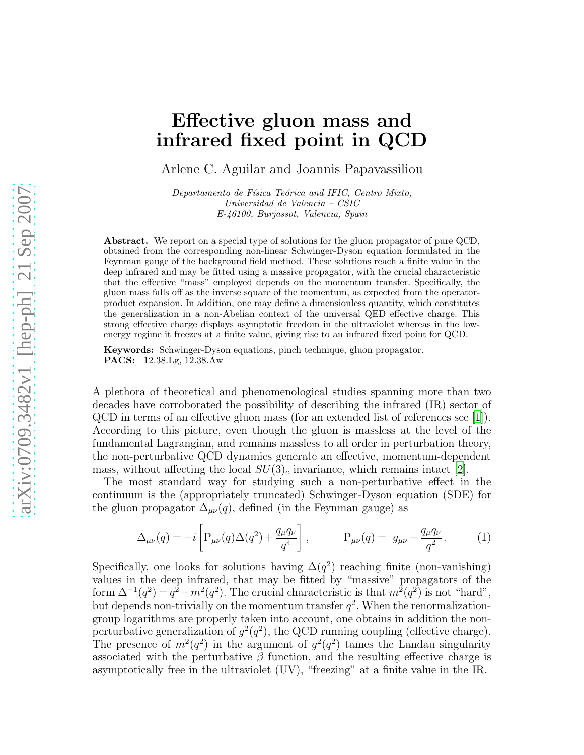## Effective gluon mass and infrared fixed point in QCD

Arlene C. Aguilar and Joannis Papavassiliou

Departamento de Física Teórica and IFIC, Centro Mixto, Universidad de Valencia – CSIC E-46100, Burjassot, Valencia, Spain

Abstract. We report on a special type of solutions for the gluon propagator of pure QCD, obtained from the corresponding non-linear Schwinger-Dyson equation formulated in the Feynman gauge of the background field method. These solutions reach a finite value in the deep infrared and may be fitted using a massive propagator, with the crucial characteristic that the effective "mass" employed depends on the momentum transfer. Specifically, the gluon mass falls off as the inverse square of the momentum, as expected from the operatorproduct expansion. In addition, one may define a dimensionless quantity, which constitutes the generalization in a non-Abelian context of the universal QED effective charge. This strong effective charge displays asymptotic freedom in the ultraviolet whereas in the lowenergy regime it freezes at a finite value, giving rise to an infrared fixed point for QCD.

Keywords: Schwinger-Dyson equations, pinch technique, gluon propagator. PACS: 12.38.Lg, 12.38.Aw

A plethora of theoretical and phenomenological studies spanning more than two decades have corroborated the possibility of describing the infrared (IR) sector of QCD in terms of an effective gluon mass (for an extended list of references see [\[1](#page-5-0)]). According to this picture, even though the gluon is massless at the level of the fundamental Lagrangian, and remains massless to all order in perturbation theory, the non-perturbative QCD dynamics generate an effective, momentum-dependent mass, without affecting the local  $SU(3)_c$  invariance, which remains intact [\[2\]](#page-5-1).

The most standard way for studying such a non-perturbative effect in the continuum is the (appropriately truncated) Schwinger-Dyson equation (SDE) for the gluon propagator  $\Delta_{\mu\nu}(q)$ , defined (in the Feynman gauge) as

$$
\Delta_{\mu\nu}(q) = -i \left[ P_{\mu\nu}(q) \Delta(q^2) + \frac{q_{\mu}q_{\nu}}{q^4} \right], \qquad P_{\mu\nu}(q) = g_{\mu\nu} - \frac{q_{\mu}q_{\nu}}{q^2}.
$$
 (1)

Specifically, one looks for solutions having  $\Delta(q^2)$  reaching finite (non-vanishing) values in the deep infrared, that may be fitted by "massive" propagators of the form  $\Delta^{-1}(q^2) = q^2 + m^2(q^2)$ . The crucial characteristic is that  $m^2(q^2)$  is not "hard", but depends non-trivially on the momentum transfer  $q^2$ . When the renormalizationgroup logarithms are properly taken into account, one obtains in addition the nonperturbative generalization of  $g^2(q^2)$ , the QCD running coupling (effective charge). The presence of  $m^2(q^2)$  in the argument of  $q^2(q^2)$  tames the Landau singularity associated with the perturbative  $\beta$  function, and the resulting effective charge is asymptotically free in the ultraviolet (UV), "freezing" at a finite value in the IR.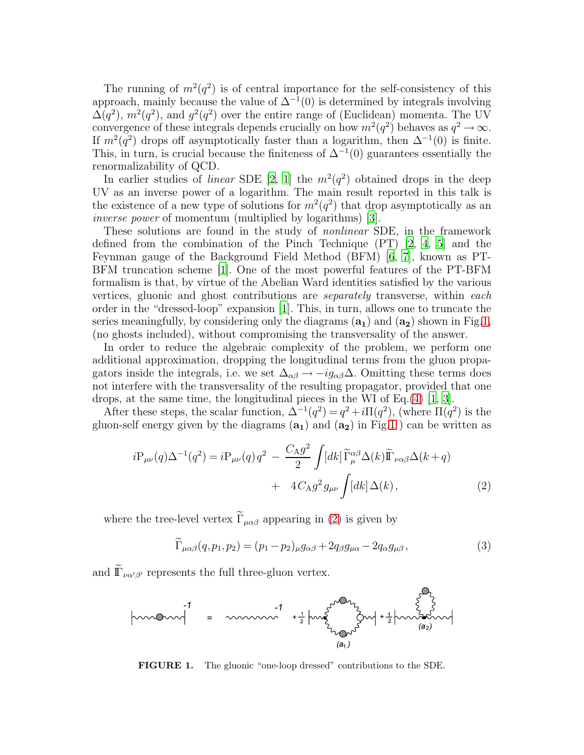The running of  $m^2(q^2)$  is of central importance for the self-consistency of this approach, mainly because the value of  $\Delta^{-1}(0)$  is determined by integrals involving  $\Delta(q^2)$ ,  $m^2(q^2)$ , and  $g^2(q^2)$  over the entire range of (Euclidean) momenta. The UV convergence of these integrals depends crucially on how  $m^2(q^2)$  behaves as  $q^2 \to \infty$ . If  $m^2(q^2)$  drops off asymptotically faster than a logarithm, then  $\Delta^{-1}(0)$  is finite. This, in turn, is crucial because the finiteness of  $\Delta^{-1}(0)$  guarantees essentially the renormalizability of QCD.

In earlier studies of *linear* SDE [\[2,](#page-5-1) [1](#page-5-0)] the  $m^2(q^2)$  obtained drops in the deep UV as an inverse power of a logarithm. The main result reported in this talk is the existence of a new type of solutions for  $m^2(q^2)$  that drop asymptotically as an inverse power of momentum (multiplied by logarithms) [\[3](#page-5-2)].

These solutions are found in the study of nonlinear SDE, in the framework defined from the combination of the Pinch Technique  $(PT)$  [\[2,](#page-5-1) [4,](#page-5-3) [5](#page-5-4)] and the Feynman gauge of the Background Field Method (BFM) [\[6,](#page-5-5) [7](#page-5-6)], known as PT-BFM truncation scheme [\[1\]](#page-5-0). One of the most powerful features of the PT-BFM formalism is that, by virtue of the Abelian Ward identities satisfied by the various vertices, gluonic and ghost contributions are separately transverse, within each order in the "dressed-loop" expansion [\[1](#page-5-0)]. This, in turn, allows one to truncate the series meaningfully, by considering only the diagrams  $(a_1)$  and  $(a_2)$  shown in Fig[.1,](#page-1-0) (no ghosts included), without compromising the transversality of the answer.

In order to reduce the algebraic complexity of the problem, we perform one additional approximation, dropping the longitudinal terms from the gluon propagators inside the integrals, i.e. we set  $\Delta_{\alpha\beta} \rightarrow -ig_{\alpha\beta}\Delta$ . Omitting these terms does not interfere with the transversality of the resulting propagator, provided that one drops, at the same time, the longitudinal pieces in the WI of Eq.[\(4\)](#page-2-0) [\[1](#page-5-0), [3](#page-5-2)].

After these steps, the scalar function,  $\Delta^{-1}(q^2) = q^2 + i\Pi(q^2)$ , (where  $\Pi(q^2)$ ) is the gluon-self energy given by the diagrams  $(a_1)$  and  $(a_2)$  in Fig[.1](#page-1-0) ) can be written as

<span id="page-1-1"></span>
$$
iP_{\mu\nu}(q)\Delta^{-1}(q^2) = iP_{\mu\nu}(q)q^2 - \frac{C_{A}g^2}{2} \int [dk] \widetilde{\Gamma}_{\mu}^{\alpha\beta}\Delta(k)\widetilde{\Gamma}_{\nu\alpha\beta}\Delta(k+q) + 4C_{A}g^2 g_{\mu\nu} \int [dk]\Delta(k),
$$
 (2)

where the tree-level vertex  $\tilde{\Gamma}_{\mu\alpha\beta}$  appearing in [\(2\)](#page-1-1) is given by

<span id="page-1-2"></span>
$$
\widetilde{\Gamma}_{\mu\alpha\beta}(q, p_1, p_2) = (p_1 - p_2)_{\mu} g_{\alpha\beta} + 2q_{\beta} g_{\mu\alpha} - 2q_{\alpha} g_{\mu\beta},\tag{3}
$$

and  $\widetilde{\mathbb{I}}_{\nu\alpha'\beta'}$  represents the full three-gluon vertex.



<span id="page-1-0"></span>FIGURE 1. The gluonic "one-loop dressed" contributions to the SDE.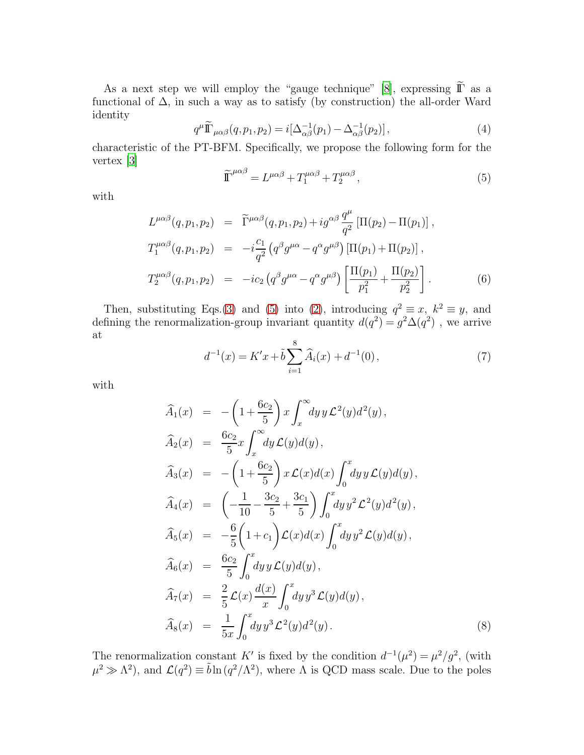As a next step we will employ the "gauge technique" [\[8\]](#page-5-7), expressing  $\tilde{\mathbb{I}}$  as a functional of  $\Delta$ , in such a way as to satisfy (by construction) the all-order Ward identity

<span id="page-2-0"></span>
$$
q^{\mu}\widetilde{\mathbb{T}}_{\mu\alpha\beta}(q, p_1, p_2) = i[\Delta_{\alpha\beta}^{-1}(p_1) - \Delta_{\alpha\beta}^{-1}(p_2)],\tag{4}
$$

characteristic of the PT-BFM. Specifically, we propose the following form for the vertex [\[3](#page-5-2)]

<span id="page-2-1"></span>
$$
\widetilde{\Gamma}^{\mu\alpha\beta} = L^{\mu\alpha\beta} + T_1^{\mu\alpha\beta} + T_2^{\mu\alpha\beta},\tag{5}
$$

with

$$
L^{\mu\alpha\beta}(q, p_1, p_2) = \tilde{\Gamma}^{\mu\alpha\beta}(q, p_1, p_2) + ig^{\alpha\beta} \frac{q^{\mu}}{q^2} \left[ \Pi(p_2) - \Pi(p_1) \right],
$$
  
\n
$$
T_1^{\mu\alpha\beta}(q, p_1, p_2) = -i \frac{c_1}{q^2} \left( q^{\beta} g^{\mu\alpha} - q^{\alpha} g^{\mu\beta} \right) \left[ \Pi(p_1) + \Pi(p_2) \right],
$$
  
\n
$$
T_2^{\mu\alpha\beta}(q, p_1, p_2) = -i c_2 \left( q^{\beta} g^{\mu\alpha} - q^{\alpha} g^{\mu\beta} \right) \left[ \frac{\Pi(p_1)}{p_1^2} + \frac{\Pi(p_2)}{p_2^2} \right].
$$
 (6)

Then, substituting Eqs.[\(3\)](#page-1-2) and [\(5\)](#page-2-1) into [\(2\)](#page-1-1), introducing  $q^2 \equiv x$ ,  $k^2 \equiv y$ , and defining the renormalization-group invariant quantity  $d(q^2) = g^2 \Delta(q^2)$ , we arrive at

<span id="page-2-2"></span>
$$
d^{-1}(x) = K'x + \tilde{b} \sum_{i=1}^{8} \widehat{A}_i(x) + d^{-1}(0), \qquad (7)
$$

with

<span id="page-2-3"></span>
$$
\begin{aligned}\n\widehat{A}_1(x) &= -\left(1 + \frac{6c_2}{5}\right) x \int_x^\infty dy \, y \, \mathcal{L}^2(y) d^2(y), \\
\widehat{A}_2(x) &= \frac{6c_2}{5} x \int_x^\infty dy \, \mathcal{L}(y) d(y), \\
\widehat{A}_3(x) &= -\left(1 + \frac{6c_2}{5}\right) x \, \mathcal{L}(x) d(x) \int_0^x dy \, y \, \mathcal{L}(y) d(y), \\
\widehat{A}_4(x) &= \left(-\frac{1}{10} - \frac{3c_2}{5} + \frac{3c_1}{5}\right) \int_0^x dy \, y^2 \, \mathcal{L}^2(y) d^2(y), \\
\widehat{A}_5(x) &= -\frac{6}{5} \left(1 + c_1\right) \mathcal{L}(x) d(x) \int_0^x dy \, y^2 \, \mathcal{L}(y) d(y), \\
\widehat{A}_6(x) &= \frac{6c_2}{5} \int_0^x dy \, y \, \mathcal{L}(y) d(y), \\
\widehat{A}_7(x) &= \frac{2}{5} \mathcal{L}(x) \frac{d(x)}{x} \int_0^x dy \, y^3 \, \mathcal{L}(y) d(y), \\
\widehat{A}_8(x) &= \frac{1}{5x} \int_0^x dy \, y^3 \, \mathcal{L}^2(y) d^2(y).\n\end{aligned}
$$
\n
$$
(8)
$$

The renormalization constant K' is fixed by the condition  $d^{-1}(\mu^2) = \mu^2/g^2$ , (with  $\mu^2 \gg \Lambda^2$ ), and  $\mathcal{L}(q^2) \equiv \tilde{b} \ln(q^2/\Lambda^2)$ , where  $\Lambda$  is QCD mass scale. Due to the poles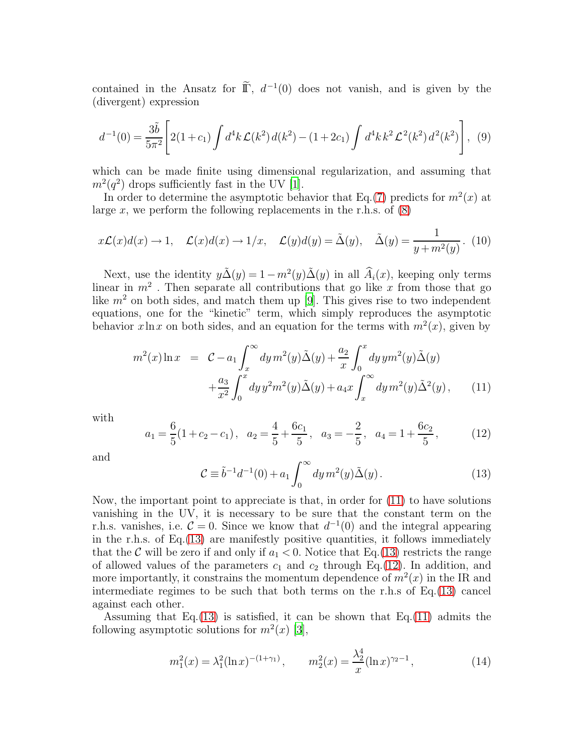contained in the Ansatz for  $\tilde{\mathbb{I}}$ ,  $d^{-1}(0)$  does not vanish, and is given by the (divergent) expression

$$
d^{-1}(0) = \frac{3\tilde{b}}{5\pi^2} \left[ 2(1+c_1) \int d^4k \mathcal{L}(k^2) d(k^2) - (1+2c_1) \int d^4k k^2 \mathcal{L}^2(k^2) d^2(k^2) \right], \tag{9}
$$

which can be made finite using dimensional regularization, and assuming that  $m^2(q^2)$  drops sufficiently fast in the UV [\[1](#page-5-0)].

In order to determine the asymptotic behavior that Eq.[\(7\)](#page-2-2) predicts for  $m^2(x)$  at large x, we perform the following replacements in the r.h.s. of  $(8)$ 

$$
x\mathcal{L}(x)d(x) \to 1, \quad \mathcal{L}(x)d(x) \to 1/x, \quad \mathcal{L}(y)d(y) = \tilde{\Delta}(y), \quad \tilde{\Delta}(y) = \frac{1}{y + m^2(y)}.
$$
 (10)

Next, use the identity  $y\tilde{\Delta}(y) = 1 - m^2(y)\tilde{\Delta}(y)$  in all  $\hat{A}_i(x)$ , keeping only terms linear in  $m^2$ . Then separate all contributions that go like x from those that go like  $m<sup>2</sup>$  on both sides, and match them up [\[9\]](#page-5-8). This gives rise to two independent equations, one for the "kinetic" term, which simply reproduces the asymptotic behavior  $x \ln x$  on both sides, and an equation for the terms with  $m^2(x)$ , given by

<span id="page-3-0"></span>
$$
m^{2}(x)\ln x = C - a_{1} \int_{x}^{\infty} dy m^{2}(y) \tilde{\Delta}(y) + \frac{a_{2}}{x} \int_{0}^{x} dy y m^{2}(y) \tilde{\Delta}(y) + \frac{a_{3}}{x^{2}} \int_{0}^{x} dy y^{2} m^{2}(y) \tilde{\Delta}(y) + a_{4} x \int_{x}^{\infty} dy m^{2}(y) \tilde{\Delta}^{2}(y), \qquad (11)
$$

with

<span id="page-3-2"></span>
$$
a_1 = \frac{6}{5}(1 + c_2 - c_1), \quad a_2 = \frac{4}{5} + \frac{6c_1}{5}, \quad a_3 = -\frac{2}{5}, \quad a_4 = 1 + \frac{6c_2}{5}, \tag{12}
$$

and

<span id="page-3-1"></span>
$$
\mathcal{C} \equiv \tilde{b}^{-1}d^{-1}(0) + a_1 \int_0^\infty dy \, m^2(y) \tilde{\Delta}(y) \,. \tag{13}
$$

Now, the important point to appreciate is that, in order for [\(11\)](#page-3-0) to have solutions vanishing in the UV, it is necessary to be sure that the constant term on the r.h.s. vanishes, i.e.  $\mathcal{C} = 0$ . Since we know that  $d^{-1}(0)$  and the integral appearing in the r.h.s. of Eq.[\(13\)](#page-3-1) are manifestly positive quantities, it follows immediately that the C will be zero if and only if  $a_1 < 0$ . Notice that Eq.[\(13\)](#page-3-1) restricts the range of allowed values of the parameters  $c_1$  and  $c_2$  through Eq.[\(12\)](#page-3-2). In addition, and more importantly, it constrains the momentum dependence of  $m^2(x)$  in the IR and intermediate regimes to be such that both terms on the r.h.s of Eq.[\(13\)](#page-3-1) cancel against each other.

Assuming that Eq. $(13)$  is satisfied, it can be shown that Eq. $(11)$  admits the following asymptotic solutions for  $m^2(x)$  [\[3\]](#page-5-2),

$$
m_1^2(x) = \lambda_1^2(\ln x)^{-(1+\gamma_1)}, \qquad m_2^2(x) = \frac{\lambda_2^4}{x}(\ln x)^{\gamma_2 - 1}, \tag{14}
$$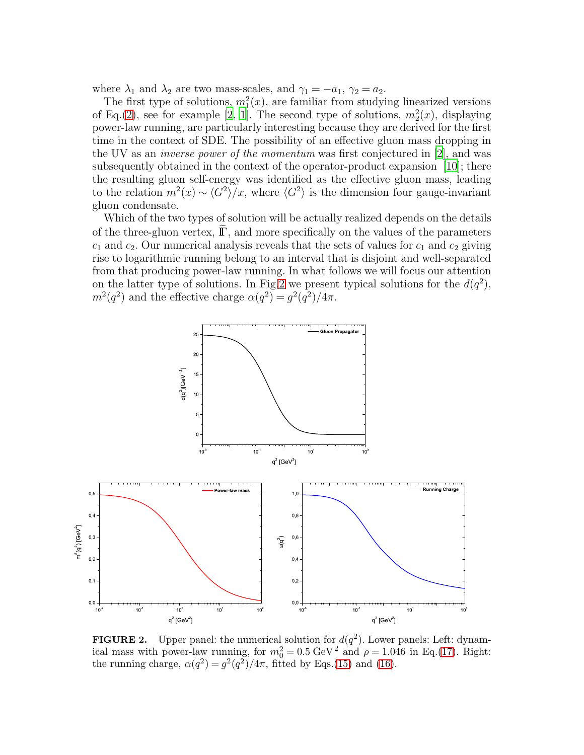where  $\lambda_1$  and  $\lambda_2$  are two mass-scales, and  $\gamma_1 = -a_1, \gamma_2 = a_2$ .

The first type of solutions,  $m_1^2(x)$ , are familiar from studying linearized versions of Eq.[\(2\)](#page-1-1), see for example [\[2](#page-5-1), [1\]](#page-5-0). The second type of solutions,  $m_2^2(x)$ , displaying power-law running, are particularly interesting because they are derived for the first time in the context of SDE. The possibility of an effective gluon mass dropping in the UV as an inverse power of the momentum was first conjectured in [\[2](#page-5-1)], and was subsequently obtained in the context of the operator-product expansion [\[10\]](#page-5-9); there the resulting gluon self-energy was identified as the effective gluon mass, leading to the relation  $m^2(x) \sim \langle G^2 \rangle / x$ , where  $\langle G^2 \rangle$  is the dimension four gauge-invariant gluon condensate.

Which of the two types of solution will be actually realized depends on the details of the three-gluon vertex,  $\mathbb{F}$ , and more specifically on the values of the parameters  $c_1$  and  $c_2$ . Our numerical analysis reveals that the sets of values for  $c_1$  and  $c_2$  giving rise to logarithmic running belong to an interval that is disjoint and well-separated from that producing power-law running. In what follows we will focus our attention on the latter type of solutions. In Fig[.2](#page-4-0) we present typical solutions for the  $d(q^2)$ ,  $m^2(q^2)$  and the effective charge  $\alpha(q^2) = g^2(q^2)/4\pi$ .



<span id="page-4-0"></span>**FIGURE 2.** Upper panel: the numerical solution for  $d(q^2)$ . Lower panels: Left: dynamical mass with power-law running, for  $m_0^2 = 0.5 \text{ GeV}^2$  and  $\rho = 1.046$  in Eq.[\(17\)](#page-5-10). Right: the running charge,  $\alpha(q^2) = g^2(q^2)/4\pi$ , fitted by Eqs.[\(15\)](#page-5-11) and [\(16\)](#page-5-12).